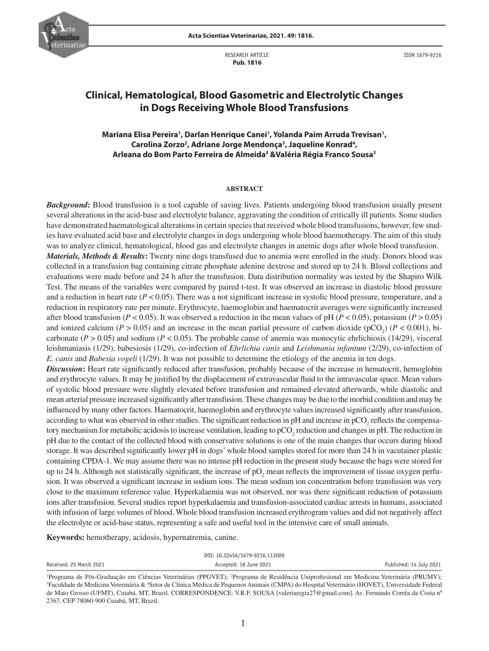

RESEARCH ARTICLE  **Pub. 1816**

ISSN 1679-9216

# **Clinical, Hematological, Blood Gasometric and Electrolytic Changes in Dogs Receiving Whole Blood Transfusions**

Mariana Elisa Pereira<sup>1</sup>, Darlan Henrique Canei<sup>1</sup>, Yolanda Paim Arruda Trevisan<sup>1</sup>, Carolina Zorzo<sup>2</sup>, Adriane Jorge Mendonça<sup>3</sup>, Jaqueline Konrad<sup>4</sup>, **Arleana do Bom Parto Ferreira de Almeida3 &Valéria Régia Franco Sousa3**

### **ABSTRACT**

*Background*: Blood transfusion is a tool capable of saving lives. Patients undergoing blood transfusion usually present several alterations in the acid-base and electrolyte balance, aggravating the condition of critically ill patients. Some studies have demonstrated haematological alterations in certain species that received whole blood transfusions, however, few studies have evaluated acid base and electrolyte changes in dogs undergoing whole blood haemotherapy. The aim of this study was to analyze clinical, hematological, blood gas and electrolyte changes in anemic dogs after whole blood transfusion.

*Materials, Methods & Results***:** Twenty nine dogs transfused due to anemia were enrolled in the study. Donors blood was collected in a transfusion bag containing citrate phosphate adenine dextrose and stored up to 24 h. Blood collections and evaluations were made before and 24 h after the transfusion. Data distribution normality was tested by the Shapiro Wilk Test. The means of the variables were compared by paired t-test. It was observed an increase in diastolic blood pressure and a reduction in heart rate  $(P < 0.05)$ . There was a not significant increase in systolic blood pressure, temperature, and a reduction in respiratory rate per minute. Erythrocyte, haemoglobin and haematocrit averages were significantly increased after blood transfusion ( $P < 0.05$ ). It was observed a reduction in the mean values of pH ( $P < 0.05$ ), potassium ( $P > 0.05$ ) and ionized calcium ( $P > 0.05$ ) and an increase in the mean partial pressure of carbon dioxide ( $pCO_2$ ) ( $P < 0.001$ ), bicarbonate  $(P > 0.05)$  and sodium  $(P < 0.05)$ . The probable cause of anemia was monocytic ehrlichiosis (14/29), visceral leishmaniasis (1/29), babesiosis (1/29), co-infection of *Ehrlichia canis* and *Leishmania infantum* (2/29), co-infection of *E. canis* and *Babesia vogeli* (1/29). It was not possible to determine the etiology of the anemia in ten dogs.

*Discussion***:** Heart rate significantly reduced after transfusion, probably because of the increase in hematocrit, hemoglobin and erythrocyte values. It may be justified by the displacement of extravascular fluid to the intravascular space. Mean values of systolic blood pressure were slightly elevated before transfusion and remained elevated afterwards, while diastolic and mean arterial pressure increased significantly after transfusion. These changes may be due to the morbid condition and may be influenced by many other factors. Haematocrit, haemoglobin and erythrocyte values increased significantly after transfusion, according to what was observed in other studies. The significant reduction in pH and increase in  $pCO_2$  reflects the compensatory mechanism for metabolic acidosis to increase ventilation, leading to  $pCO_2$  reduction and changes in pH. The reduction in pH due to the contact of the collected blood with conservative solutions is one of the main changes thar occurs during blood storage. It was described significantly lower pH in dogs' whole blood samples stored for more than 24 h in vacutainer plastic containing CPDA-1. We may assume there was no intense pH reduction in the present study because the bags were stored for up to 24 h. Although not statistically significant, the increase of  $pO_2$  mean reflects the improvement of tissue oxygen perfusion. It was observed a significant increase in sodium ions. The mean sodium ion concentration before transfusion was very close to the maximum reference value. Hyperkalaemia was not observed, nor was there significant reduction of potassium ions after transfusion. Several studies report hyperkalaemia and transfusion-associated cardiac arrests in humans, associated with infusion of large volumes of blood. Whole blood transfusion increased erythrogram values and did not negatively affect the electrolyte or acid-base status, representing a safe and useful tool in the intensive care of small animals.

**Keywords:** hemotherapy, acidosis, hypernatremia, canine.

| DOI: 10.22456/1679-9216.113009 |                                                                                                                                                                |                         |  |  |  |  |  |
|--------------------------------|----------------------------------------------------------------------------------------------------------------------------------------------------------------|-------------------------|--|--|--|--|--|
| Received: 25 March 2021        | Accepted: 18 June 2021                                                                                                                                         | Published: 14 July 2021 |  |  |  |  |  |
|                                | <sup>1</sup> Programa de Pós-Graduação em Ciências Veterinárias (PPGVET); <sup>2</sup> Programa de Residência Uniprofissional em Medicina Veterinária (PRUMV); |                         |  |  |  |  |  |

<sup>&</sup>lt;sup>1</sup>Programa de Pós-Graduação em Ciências Veterinárias (PPGVET); <sup>2</sup>Programa de Residência Uniprofissional em Medicina Veterinária (PRUMV);<br><sup>3</sup>Faculdade de Medicina Veterinária & <sup>4</sup>Setor de Clínica Médica de Pequenos Anima de Mato Grosso (UFMT), Cuiabá, MT, Brazil. CORRESPONDENCE: V.R.F. SOUSA [valeriaregia27@gmail.com]. Av. Fernando Corrêa da Costa nº 2367. CEP 78060-900 Cuiabá, MT, Brazil.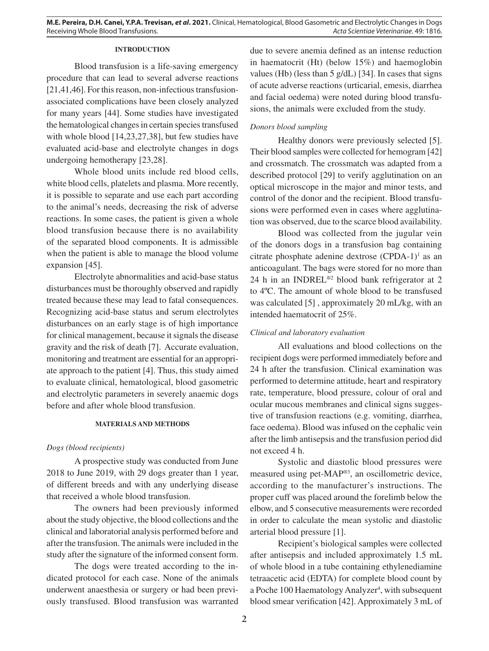## **INTRODUCTION**

Blood transfusion is a life-saving emergency procedure that can lead to several adverse reactions [21,41,46]. For this reason, non-infectious transfusionassociated complications have been closely analyzed for many years [44]. Some studies have investigated the hematological changes in certain species transfused with whole blood [14,23,27,38], but few studies have evaluated acid-base and electrolyte changes in dogs undergoing hemotherapy [23,28].

Whole blood units include red blood cells, white blood cells, platelets and plasma. More recently, it is possible to separate and use each part according to the animal's needs, decreasing the risk of adverse reactions. In some cases, the patient is given a whole blood transfusion because there is no availability of the separated blood components. It is admissible when the patient is able to manage the blood volume expansion [45].

Electrolyte abnormalities and acid-base status disturbances must be thoroughly observed and rapidly treated because these may lead to fatal consequences. Recognizing acid-base status and serum electrolytes disturbances on an early stage is of high importance for clinical management, because it signals the disease gravity and the risk of death [7]. Accurate evaluation, monitoring and treatment are essential for an appropriate approach to the patient [4]. Thus, this study aimed to evaluate clinical, hematological, blood gasometric and electrolytic parameters in severely anaemic dogs before and after whole blood transfusion.

# **MATERIALS AND METHODS**

### *Dogs (blood recipients)*

A prospective study was conducted from June 2018 to June 2019, with 29 dogs greater than 1 year, of different breeds and with any underlying disease that received a whole blood transfusion.

The owners had been previously informed about the study objective, the blood collections and the clinical and laboratorial analysis performed before and after the transfusion. The animals were included in the study after the signature of the informed consent form.

The dogs were treated according to the indicated protocol for each case. None of the animals underwent anaesthesia or surgery or had been previously transfused. Blood transfusion was warranted due to severe anemia defined as an intense reduction in haematocrit (Ht) (below 15%) and haemoglobin values (Hb) (less than 5 g/dL) [34]. In cases that signs of acute adverse reactions (urticarial, emesis, diarrhea and facial oedema) were noted during blood transfusions, the animals were excluded from the study.

# *Donors blood sampling*

Healthy donors were previously selected [5]. Their blood samples were collected for hemogram [42] and crossmatch. The crossmatch was adapted from a described protocol [29] to verify agglutination on an optical microscope in the major and minor tests, and control of the donor and the recipient. Blood transfusions were performed even in cases where agglutination was observed, due to the scarce blood availability.

Blood was collected from the jugular vein of the donors dogs in a transfusion bag containing citrate phosphate adenine dextrose  $(CPDA-1)$ <sup>1</sup> as an anticoagulant. The bags were stored for no more than 24 h in an INDREL®2 blood bank refrigerator at 2 to 4ºC. The amount of whole blood to be transfused was calculated [5] , approximately 20 mL/kg, with an intended haematocrit of 25%.

### *Clinical and laboratory evaluation*

All evaluations and blood collections on the recipient dogs were performed immediately before and 24 h after the transfusion. Clinical examination was performed to determine attitude, heart and respiratory rate, temperature, blood pressure, colour of oral and ocular mucous membranes and clinical signs suggestive of transfusion reactions (e.g. vomiting, diarrhea, face oedema). Blood was infused on the cephalic vein after the limb antisepsis and the transfusion period did not exceed 4 h.

Systolic and diastolic blood pressures were measured using pet-MAP®3, an oscillometric device, according to the manufacturer's instructions. The proper cuff was placed around the forelimb below the elbow, and 5 consecutive measurements were recorded in order to calculate the mean systolic and diastolic arterial blood pressure [1].

Recipient's biological samples were collected after antisepsis and included approximately 1.5 mL of whole blood in a tube containing ethylenediamine tetraacetic acid (EDTA) for complete blood count by a Poche 100 Haematology Analyzer<sup>4</sup>, with subsequent blood smear verification [42]. Approximately 3 mL of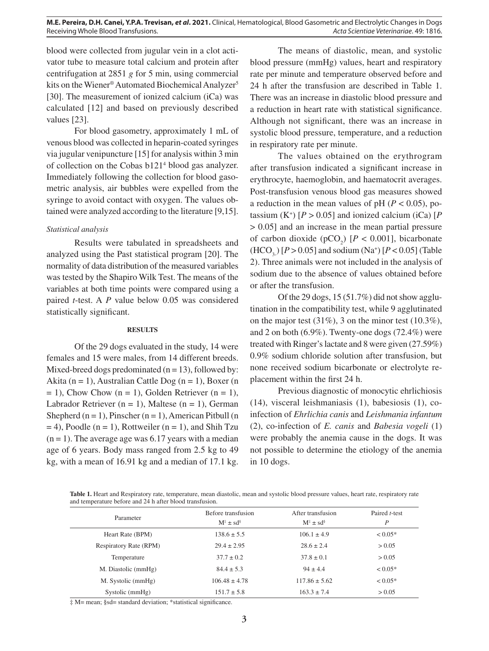blood were collected from jugular vein in a clot activator tube to measure total calcium and protein after centrifugation at 2851 *g* for 5 min, using commercial kits on the Wiener® Automated Biochemical Analyzer<sup>5</sup> [30]. The measurement of ionized calcium (iCa) was calculated [12] and based on previously described values [23].

For blood gasometry, approximately 1 mL of venous blood was collected in heparin-coated syringes via jugular venipuncture [15] for analysis within 3 min of collection on the Cobas b121<sup>4</sup> blood gas analyzer. Immediately following the collection for blood gasometric analysis, air bubbles were expelled from the syringe to avoid contact with oxygen. The values obtained were analyzed according to the literature [9,15].

# *Statistical analysis*

Results were tabulated in spreadsheets and analyzed using the Past statistical program [20]. The normality of data distribution of the measured variables was tested by the Shapiro Wilk Test. The means of the variables at both time points were compared using a paired *t*-test. A *P* value below 0.05 was considered statistically significant.

# **RESULTS**

Of the 29 dogs evaluated in the study, 14 were females and 15 were males, from 14 different breeds. Mixed-breed dogs predominated  $(n = 13)$ , followed by: Akita (n = 1), Australian Cattle Dog (n = 1), Boxer (n  $= 1$ ), Chow Chow (n = 1), Golden Retriever (n = 1), Labrador Retriever  $(n = 1)$ , Maltese  $(n = 1)$ , German Shepherd  $(n = 1)$ , Pinscher  $(n = 1)$ , American Pitbull  $(n = 1)$  $= 4$ ), Poodle (n = 1), Rottweiler (n = 1), and Shih Tzu  $(n = 1)$ . The average age was 6.17 years with a median age of 6 years. Body mass ranged from 2.5 kg to 49 kg, with a mean of 16.91 kg and a median of 17.1 kg.

The means of diastolic, mean, and systolic blood pressure (mmHg) values, heart and respiratory rate per minute and temperature observed before and 24 h after the transfusion are described in Table 1. There was an increase in diastolic blood pressure and a reduction in heart rate with statistical significance. Although not significant, there was an increase in systolic blood pressure, temperature, and a reduction in respiratory rate per minute.

The values obtained on the erythrogram after transfusion indicated a significant increase in erythrocyte, haemoglobin, and haematocrit averages. Post-transfusion venous blood gas measures showed a reduction in the mean values of pH ( $P < 0.05$ ), potassium  $(K^+)$   $[P > 0.05]$  and ionized calcium (iCa)  $[P$ > 0.05] and an increase in the mean partial pressure of carbon dioxide ( $pCO_2$ ) [ $P < 0.001$ ], bicarbonate  $(HCO<sub>3</sub>) [P > 0.05]$  and sodium  $(Na<sup>+</sup>) [P < 0.05]$  (Table 2). Three animals were not included in the analysis of sodium due to the absence of values obtained before or after the transfusion.

Of the 29 dogs,  $15(51.7%)$  did not show agglutination in the compatibility test, while 9 agglutinated on the major test  $(31\%)$ , 3 on the minor test  $(10.3\%)$ , and 2 on both (6.9%). Twenty-one dogs (72.4%) were treated with Ringer's lactate and 8 were given (27.59%) 0.9% sodium chloride solution after transfusion, but none received sodium bicarbonate or electrolyte replacement within the first 24 h.

Previous diagnostic of monocytic ehrlichiosis (14), visceral leishmaniasis (1), babesiosis (1), coinfection of *Ehrlichia canis* and *Leishmania infantum* (2), co-infection of *E. canis* and *Babesia vogeli* (1) were probably the anemia cause in the dogs. It was not possible to determine the etiology of the anemia in 10 dogs.

**Table 1.** Heart and Respiratory rate, temperature, mean diastolic, mean and systolic blood pressure values, heart rate, respiratory rate and temperature before and 24 h after blood transfusion.

| Parameter                     | Before transfusion<br>$M^{\ddagger} \pm sd^{\dot{s}}$ | After transfusion<br>$M^{\ddagger} \pm sd^{\dot{s}}$ | Paired <i>t</i> -test<br>P |
|-------------------------------|-------------------------------------------------------|------------------------------------------------------|----------------------------|
| Heart Rate (BPM)              | $138.6 \pm 5.5$                                       | $106.1 \pm 4.9$                                      | $< 0.05*$                  |
| <b>Respiratory Rate (RPM)</b> | $29.4 \pm 2.95$                                       | $28.6 \pm 2.4$                                       | > 0.05                     |
| Temperature                   | $37.7 \pm 0.2$                                        | $37.8 \pm 0.1$                                       | > 0.05                     |
| M. Diastolic (mmHg)           | $84.4 \pm 5.3$                                        | $94 \pm 4.4$                                         | $< 0.05*$                  |
| M. Systolic (mmHg)            | $106.48 \pm 4.78$                                     | $117.86 \pm 5.62$                                    | $< 0.05*$                  |
| Systolic (mmHg)               | $151.7 \pm 5.8$                                       | $163.3 \pm 7.4$                                      | > 0.05                     |

‡ M= mean; §sd= standard deviation; \*statistical significance.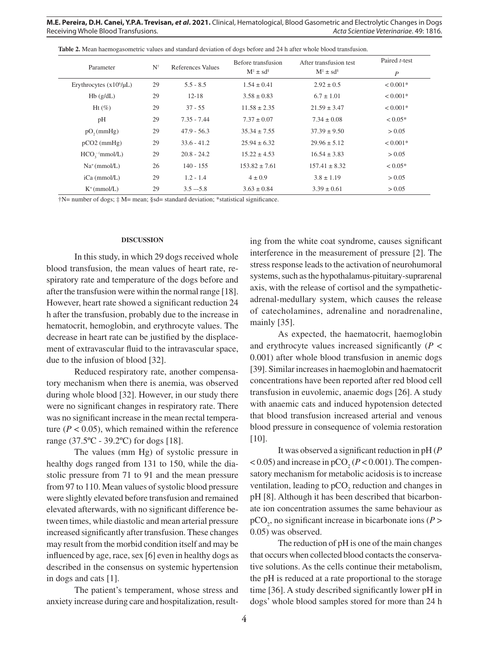|  | <b>Table 2.</b> Mean haemogas ometric values and standard deviation of dogs before and 24 h after whole blood transfusion. |
|--|----------------------------------------------------------------------------------------------------------------------------|
|  |                                                                                                                            |

| Parameter                   | $N^{\dagger}$ | References Values | Before transfusion              | After transfusion test          | Paired <i>t</i> -test |
|-----------------------------|---------------|-------------------|---------------------------------|---------------------------------|-----------------------|
|                             |               |                   | $M^{\ddagger} \pm sd^{\dot{s}}$ | $M^{\ddagger} \pm sd^{\dot{s}}$ | $\boldsymbol{P}$      |
| Erythrocytes $(x106/\mu L)$ | 29            | $5.5 - 8.5$       | $1.54 \pm 0.41$                 | $2.92 \pm 0.5$                  | $< 0.001*$            |
| Hb(g/dL)                    | 29            | $12 - 18$         | $3.58 \pm 0.83$                 | $6.7 \pm 1.01$                  | $< 0.001*$            |
| $Ht$ (%)                    | 29            | $37 - 55$         | $11.58 \pm 2.35$                | $21.59 \pm 3.47$                | $< 0.001*$            |
| pH                          | 29            | $7.35 - 7.44$     | $7.37 \pm 0.07$                 | $7.34 \pm 0.08$                 | $< 0.05*$             |
| $pO_{2}(mmHg)$              | 29            | $47.9 - 56.3$     | $35.34 \pm 7.55$                | $37.39 \pm 9.50$                | > 0.05                |
| $pCO2$ (mmHg)               | 29            | $33.6 - 41.2$     | $25.94 \pm 6.32$                | $29.96 \pm 5.12$                | $< 0.001*$            |
| $HCO$ , 'mmol/L)            | 29            | $20.8 - 24.2$     | $15.22 \pm 4.53$                | $16.54 \pm 3.83$                | > 0.05                |
| $Na^+(mmol/L)$              | 26            | $140 - 155$       | $153.82 \pm 7.61$               | $157.41 \pm 8.32$               | $< 0.05*$             |
| iCa (mmol/L)                | 29            | $1.2 - 1.4$       | $4 \pm 0.9$                     | $3.8 \pm 1.19$                  | > 0.05                |
| $K^+$ (mmol/L)              | 29            | $3.5 - 5.8$       | $3.63 \pm 0.84$                 | $3.39 \pm 0.61$                 | > 0.05                |

†N= number of dogs; ‡ M= mean; §sd= standard deviation; \*statistical significance.

### **DISCUSSION**

In this study, in which 29 dogs received whole blood transfusion, the mean values of heart rate, respiratory rate and temperature of the dogs before and after the transfusion were within the normal range [18]. However, heart rate showed a significant reduction 24 h after the transfusion, probably due to the increase in hematocrit, hemoglobin, and erythrocyte values. The decrease in heart rate can be justified by the displacement of extravascular fluid to the intravascular space, due to the infusion of blood [32].

Reduced respiratory rate, another compensatory mechanism when there is anemia, was observed during whole blood [32]. However, in our study there were no significant changes in respiratory rate. There was no significant increase in the mean rectal temperature ( $P < 0.05$ ), which remained within the reference range (37.5ºC - 39.2ºC) for dogs [18].

The values (mm Hg) of systolic pressure in healthy dogs ranged from 131 to 150, while the diastolic pressure from 71 to 91 and the mean pressure from 97 to 110. Mean values of systolic blood pressure were slightly elevated before transfusion and remained elevated afterwards, with no significant difference between times, while diastolic and mean arterial pressure increased significantly after transfusion. These changes may result from the morbid condition itself and may be influenced by age, race, sex [6] even in healthy dogs as described in the consensus on systemic hypertension in dogs and cats [1].

The patient's temperament, whose stress and anxiety increase during care and hospitalization, resulting from the white coat syndrome, causes significant interference in the measurement of pressure [2]. The stress response leads to the activation of neurohumoral systems, such as the hypothalamus-pituitary-suprarenal axis, with the release of cortisol and the sympatheticadrenal-medullary system, which causes the release of catecholamines, adrenaline and noradrenaline, mainly [35].

As expected, the haematocrit, haemoglobin and erythrocyte values increased significantly  $(P \leq$ 0.001) after whole blood transfusion in anemic dogs [39]. Similar increases in haemoglobin and haematocrit concentrations have been reported after red blood cell transfusion in euvolemic, anaemic dogs [26]. A study with anaemic cats and induced hypotension detected that blood transfusion increased arterial and venous blood pressure in consequence of volemia restoration [10].

It was observed a significant reduction in pH (*P*  $<$  0.05) and increase in pCO<sub>2</sub> (*P* < 0.001). The compensatory mechanism for metabolic acidosis is to increase ventilation, leading to  $pCO_2$  reduction and changes in pH [8]. Although it has been described that bicarbonate ion concentration assumes the same behaviour as  $pCO_2$ , no significant increase in bicarbonate ions ( $P >$ 0.05) was observed.

The reduction of pH is one of the main changes that occurs when collected blood contacts the conservative solutions. As the cells continue their metabolism, the pH is reduced at a rate proportional to the storage time [36]. A study described significantly lower pH in dogs' whole blood samples stored for more than 24 h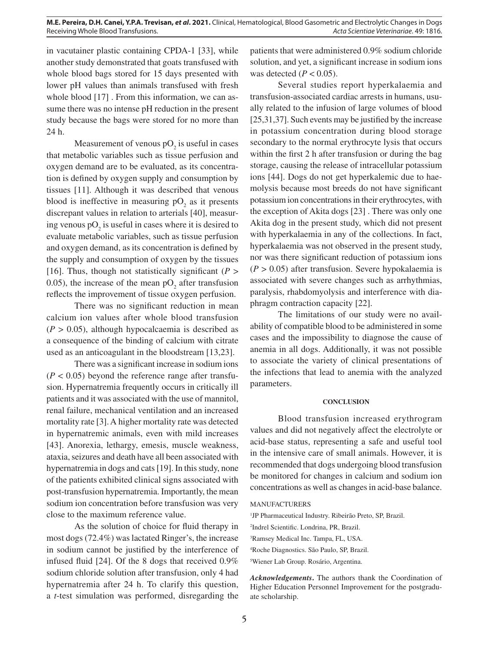in vacutainer plastic containing CPDA-1 [33], while another study demonstrated that goats transfused with whole blood bags stored for 15 days presented with lower pH values than animals transfused with fresh whole blood [17]. From this information, we can assume there was no intense pH reduction in the present study because the bags were stored for no more than 24 h.

Measurement of venous  $pO_2$  is useful in cases that metabolic variables such as tissue perfusion and oxygen demand are to be evaluated, as its concentration is defined by oxygen supply and consumption by tissues [11]. Although it was described that venous blood is ineffective in measuring  $pO_2$  as it presents discrepant values in relation to arterials [40], measuring venous  $pO_2$  is useful in cases where it is desired to evaluate metabolic variables, such as tissue perfusion and oxygen demand, as its concentration is defined by the supply and consumption of oxygen by the tissues [16]. Thus, though not statistically significant  $(P >$ 0.05), the increase of the mean  $pO_2$  after transfusion reflects the improvement of tissue oxygen perfusion.

There was no significant reduction in mean calcium ion values after whole blood transfusion  $(P > 0.05)$ , although hypocalcaemia is described as a consequence of the binding of calcium with citrate used as an anticoagulant in the bloodstream [13,23].

There was a significant increase in sodium ions  $(P < 0.05)$  beyond the reference range after transfusion. Hypernatremia frequently occurs in critically ill patients and it was associated with the use of mannitol, renal failure, mechanical ventilation and an increased mortality rate [3]. A higher mortality rate was detected in hypernatremic animals, even with mild increases [43]. Anorexia, lethargy, emesis, muscle weakness, ataxia, seizures and death have all been associated with hypernatremia in dogs and cats [19]. In this study, none of the patients exhibited clinical signs associated with post-transfusion hypernatremia. Importantly, the mean sodium ion concentration before transfusion was very close to the maximum reference value.

As the solution of choice for fluid therapy in most dogs (72.4%) was lactated Ringer's, the increase in sodium cannot be justified by the interference of infused fluid [24]. Of the 8 dogs that received 0.9% sodium chloride solution after transfusion, only 4 had hypernatremia after 24 h. To clarify this question, a *t*-test simulation was performed, disregarding the patients that were administered 0.9% sodium chloride solution, and yet, a significant increase in sodium ions was detected  $(P < 0.05)$ .

Several studies report hyperkalaemia and transfusion-associated cardiac arrests in humans, usually related to the infusion of large volumes of blood [25,31,37]. Such events may be justified by the increase in potassium concentration during blood storage secondary to the normal erythrocyte lysis that occurs within the first 2 h after transfusion or during the bag storage, causing the release of intracellular potassium ions [44]. Dogs do not get hyperkalemic due to haemolysis because most breeds do not have significant potassium ion concentrations in their erythrocytes, with the exception of Akita dogs [23] . There was only one Akita dog in the present study, which did not present with hyperkalaemia in any of the collections. In fact, hyperkalaemia was not observed in the present study, nor was there significant reduction of potassium ions  $(P > 0.05)$  after transfusion. Severe hypokalaemia is associated with severe changes such as arrhythmias, paralysis, rhabdomyolysis and interference with diaphragm contraction capacity [22].

The limitations of our study were no availability of compatible blood to be administered in some cases and the impossibility to diagnose the cause of anemia in all dogs. Additionally, it was not possible to associate the variety of clinical presentations of the infections that lead to anemia with the analyzed parameters.

### **CONCLUSION**

Blood transfusion increased erythrogram values and did not negatively affect the electrolyte or acid-base status, representing a safe and useful tool in the intensive care of small animals. However, it is recommended that dogs undergoing blood transfusion be monitored for changes in calcium and sodium ion concentrations as well as changes in acid-base balance.

#### MANUFACTURERS

<sup>1</sup>JP Pharmaceutical Industry. Ribeirão Preto, SP, Brazil. Indrel Scientific. Londrina, PR, Brazil. Ramsey Medical Inc. Tampa, FL, USA. Roche Diagnostics. São Paulo, SP, Brazil. Wiener Lab Group. Rosário, Argentina.

*Acknowledgements***.** The authors thank the Coordination of Higher Education Personnel Improvement for the postgraduate scholarship.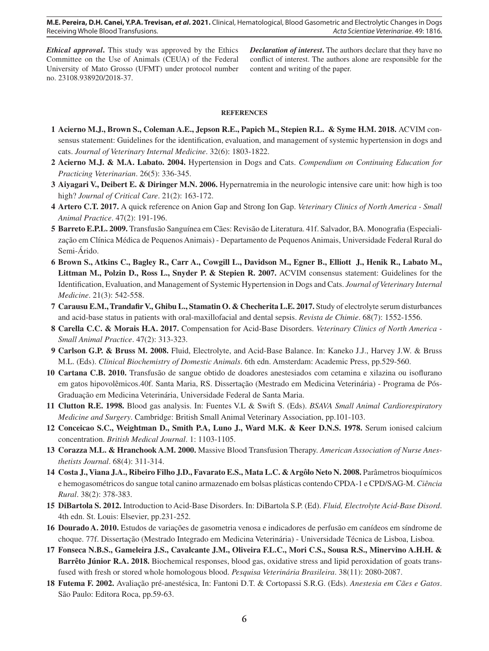*Ethical approval***.** This study was approved by the Ethics Committee on the Use of Animals (CEUA) of the Federal University of Mato Grosso (UFMT) under protocol number no. 23108.938920/2018-37.

*Declaration of interest***.** The authors declare that they have no conflict of interest. The authors alone are responsible for the content and writing of the paper.

#### **REFERENCES**

- **1 Acierno M.J., Brown S., Coleman A.E., Jepson R.E., Papich M., Stepien R.L. & Syme H.M. 2018.** ACVIM consensus statement: Guidelines for the identification, evaluation, and management of systemic hypertension in dogs and cats. *Journal of Veterinary Internal Medicine*. 32(6): 1803-1822.
- **2 Acierno M.J. & M.A. Labato. 2004.** Hypertension in Dogs and Cats. *Compendium on Continuing Education for Practicing Veterinarian*. 26(5): 336-345.
- **3 Aiyagari V., Deibert E. & Diringer M.N. 2006.** Hypernatremia in the neurologic intensive care unit: how high is too high? *Journal of Critical Care*. 21(2): 163-172.
- **4 Artero C.T. 2017.** A quick reference on Anion Gap and Strong Ion Gap. *Veterinary Clinics of North America Small Animal Practice*. 47(2): 191-196.
- **5 Barreto E.P.L. 2009.** Transfusão Sanguínea em Cães: Revisão de Literatura. 41f. Salvador, BA. Monografia (Especialização em Clínica Médica de Pequenos Animais) - Departamento de Pequenos Animais, Universidade Federal Rural do Semi-Árido.
- **6 Brown S., Atkins C., Bagley R., Carr A., Cowgill L., Davidson M., Egner B., Elliott J., Henik R., Labato M., Littman M., Polzin D., Ross L., Snyder P. & Stepien R. 2007.** ACVIM consensus statement: Guidelines for the Identification, Evaluation, and Management of Systemic Hypertension in Dogs and Cats. *Journal of Veterinary Internal Medicine*. 21(3): 542-558.
- **7 Carausu E.M., Trandafir V., Ghibu L., Stamatin O. & Checherita L.E. 2017.** Study of electrolyte serum disturbances and acid-base status in patients with oral-maxillofacial and dental sepsis. *Revista de Chimie*. 68(7): 1552-1556.
- **8 Carella C.C. & Morais H.A. 2017.** Compensation for Acid-Base Disorders. *Veterinary Clinics of North America Small Animal Practice*. 47(2): 313-323.
- **9 Carlson G.P. & Bruss M. 2008.** Fluid, Electrolyte, and Acid-Base Balance. In: Kaneko J.J., Harvey J.W. & Bruss M.L. (Eds). *Clinical Biochemistry of Domestic Animals*. 6th edn. Amsterdam: Academic Press, pp.529-560.
- **10 Cartana C.B. 2010.** Transfusão de sangue obtido de doadores anestesiados com cetamina e xilazina ou isoflurano em gatos hipovolêmicos.40f. Santa Maria, RS. Dissertação (Mestrado em Medicina Veterinária) - Programa de Pós-Graduação em Medicina Veterinária, Universidade Federal de Santa Maria.
- **11 Clutton R.E. 1998.** Blood gas analysis. In: Fuentes V.L & Swift S. (Eds). *BSAVA Small Animal Cardiorespiratory Medicine and Surgery*. Cambridge: British Small Animal Veterinary Association, pp.101-103.
- **12 Conceicao S.C., Weightman D., Smith P.A, Luno J., Ward M.K. & Keer D.N.S. 1978.** Serum ionised calcium concentration. *British Medical Journal*. 1: 1103-1105.
- **13 Corazza M.L. & Hranchook A.M. 2000.** Massive Blood Transfusion Therapy. *American Association of Nurse Anesthetists Journal*. 68(4): 311-314.
- **14 Costa J., Viana J.A., Ribeiro Filho J.D., Favarato E.S., Mata L.C. & Argôlo Neto N. 2008.** Parâmetros bioquímicos e hemogasométricos do sangue total canino armazenado em bolsas plásticas contendo CPDA-1 e CPD/SAG-M. *Ciência Rural*. 38(2): 378-383.
- **15 DiBartola S. 2012.** Introduction to Acid-Base Disorders. In: DiBartola S.P. (Ed). *Fluid, Electrolyte Acid-Base Disord*. 4th edn. St. Louis: Elsevier, pp.231-252.
- **16 Dourado A. 2010.** Estudos de variações de gasometria venosa e indicadores de perfusão em canídeos em síndrome de choque. 77f. Dissertação (Mestrado Integrado em Medicina Veterinária) - Universidade Técnica de Lisboa, Lisboa.
- **17 Fonseca N.B.S., Gameleira J.S., Cavalcante J.M., Oliveira F.L.C., Mori C.S., Sousa R.S., Minervino A.H.H. & Barrêto Júnior R.A. 2018.** Biochemical responses, blood gas, oxidative stress and lipid peroxidation of goats transfused with fresh or stored whole homologous blood. *Pesquisa Veterinária Brasileira*. 38(11): 2080-2087.
- **18 Futema F. 2002.** Avaliação pré-anestésica, In: Fantoni D.T. & Cortopassi S.R.G. (Eds). *Anestesia em Cães e Gatos*. São Paulo: Editora Roca, pp.59-63.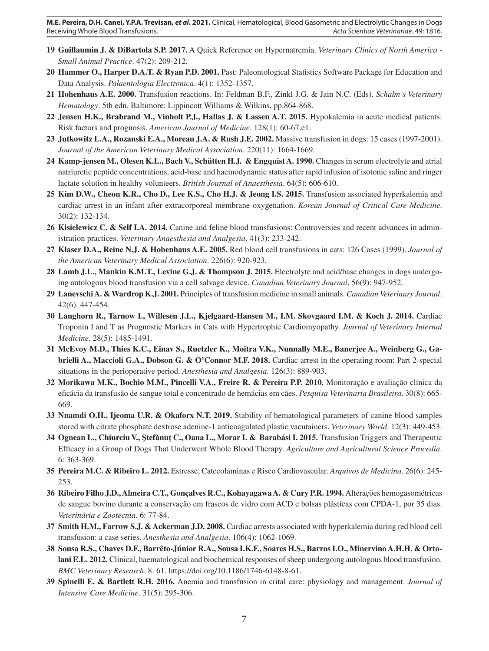- **19 Guillaumin J. & DiBartola S.P. 2017.** A Quick Reference on Hypernatremia. *Veterinary Clinics of North America Small Animal Practice*. 47(2): 209-212.
- **20 Hammer O., Harper D.A.T. & Ryan P.D. 2001.** Past: Paleontological Statistics Software Package for Education and Data Analysis. *Palaentologia Electronica*. 4(1): 1352-1357.
- **21 Hohenhaus A.E. 2000.** Transfusion reactions. In: Feldman B.F., Zinkl J.G. & Jain N.C. (Eds). *Schalm's Veterinary Hematology*. 5th edn. Baltimore: Lippincott Williams & Wilkins, pp.864-868.
- **22 Jensen H.K., Brabrand M., Vinholt P.J., Hallas J. & Lassen A.T. 2015.** Hypokalemia in acute medical patients: Risk factors and prognosis. *American Journal of Medicine*. 128(1): 60-67.e1.
- **23 Jutkowitz L.A., Rozanski E.A., Moreau J.A. & Rush J.E. 2002.** Massive transfusion in dogs: 15 cases (1997-2001). *Journal of the American Veterinary Medical Association*. 220(11): 1664-1669.
- **24 Kamp-jensen M., Olesen K.L., Bach V., Schütten H.J. & Engquist A. 1990.** Changes in serum electrolyte and atrial natriuretic peptide concentrations, acid-base and haemodynamic status after rapid infusion of isotonic saline and ringer lactate solution in healthy volunteers. *British Journal of Anaesthesia*. 64(5): 606-610.
- **25 Kim D.W., Cheon K.R., Cho D., Lee K.S., Cho H.J. & Jeong I.S. 2015.** Transfusion associated hyperkalemia and cardiac arrest in an infant after extracorporeal membrane oxygenation. *Korean Journal of Critical Care Medicine*. 30(2): 132-134.
- **26 Kisielewicz C. & Self I.A. 2014.** Canine and feline blood transfusions: Controversies and recent advances in administration practices. *Veterinary Anaesthesia and Analgesia*. 41(3): 233-242.
- **27 Klaser D.A., Reine N.J. & Hohenhaus A.E. 2005.** Red blood cell transfusions in cats: 126 Cases (1999). *Journal of the American Veterinary Medical Association*. 226(6): 920-923.
- **28 Lamb J.L., Mankin K.M.T., Levine G.J. & Thompson J. 2015.** Electrolyte and acid/base changes in dogs undergoing autologous blood transfusion via a cell salvage device. *Canadian Veterinary Journal*. 56(9): 947-952.
- **29 Lanevschi A. & Wardrop K.J. 2001.** Principles of transfusion medicine in small animals. *Canadian Veterinary Journal*. 42(6): 447-454.
- **30 Langhorn R., Tarnow I., Willesen J.L., Kjelgaard-Hansen M., I.M. Skovgaard I.M. & Koch J. 2014.** Cardiac Troponin I and T as Prognostic Markers in Cats with Hypertrophic Cardiomyopathy. *Journal of Veterinary Internal Medicine*. 28(5): 1485-1491.
- **31 McEvoy M.D., Thies K.C., Einav S., Ruetzler K., Moitra V.K., Nunnally M.E., Banerjee A., Weinberg G., Gabrielli A., Maccioli G.A., Dobson G. & O'Connor M.F. 2018.** Cardiac arrest in the operating room: Part 2-special situations in the perioperative period. *Anesthesia and Analgesia*. 126(3): 889-903.
- **32 Morikawa M.K., Bochio M.M., Pincelli V.A., Freire R. & Pereira P.P. 2010.** Monitoração e avaliação clínica da eficácia da transfusão de sangue total e concentrado de hemácias em cães. *Pesquisa Veterinaria Brasileira*. 30(8): 665- 669.
- **33 Nnamdi O.H., Ijeoma U.R. & Okaforx N.T. 2019.** Stability of hematological parameters of canine blood samples stored with citrate phosphate dextrose adenine-1 anticoagulated plastic vacutainers. *Veterinary World*. 12(3): 449-453.
- **34 Ognean L., Chiurciu V., Ştefănuţ C., Oana L., Morar I. & Barabási I. 2015.** Transfusion Triggers and Therapeutic Efficacy in a Group of Dogs That Underwent Whole Blood Therapy. *Agriculture and Agricultural Science Procedia*. 6: 363-369.
- **35 Pereira M.C. & Ribeiro L. 2012.** Estresse, Catecolaminas e Risco Cardiovascular. *Arquivos de Medicina*. 26(6): 245- 253.
- **36 Ribeiro Filho J.D., Almeira C.T., Gonçalves R.C., Kohayagawa A. & Cury P.R. 1994.** Alterações hemogasométricas de sangue bovino durante a conservação em frascos de vidro com ACD e bolsas plásticas com CPDA-1, por 35 dias. *Veterinária e Zootecnia*. 6: 77-84.
- **37 Smith H.M., Farrow S.J. & Ackerman J.D. 2008.** Cardiac arrests associated with hyperkalemia during red blood cell transfusion: a case series. *Anesthesia and Analgesia*. 106(4): 1062-1069.
- **38 Sousa R.S., Chaves D.F., Barrêto-Júnior R.A., Sousa I.K.F., Soares H.S., Barros I.O., Minervino A.H.H. & Ortolani E.L. 2012.** Clinical, haematological and biochemical responses of sheep undergoing autologous blood transfusion. *BMC Veterinary Research*. 8: 61. https://doi.org/10.1186/1746-6148-8-61.
- **39 Spinelli E. & Bartlett R.H. 2016.** Anemia and transfusion in crital care: physiology and management. *Journal of Intensive Care Medicine*. 31(5): 295-306.